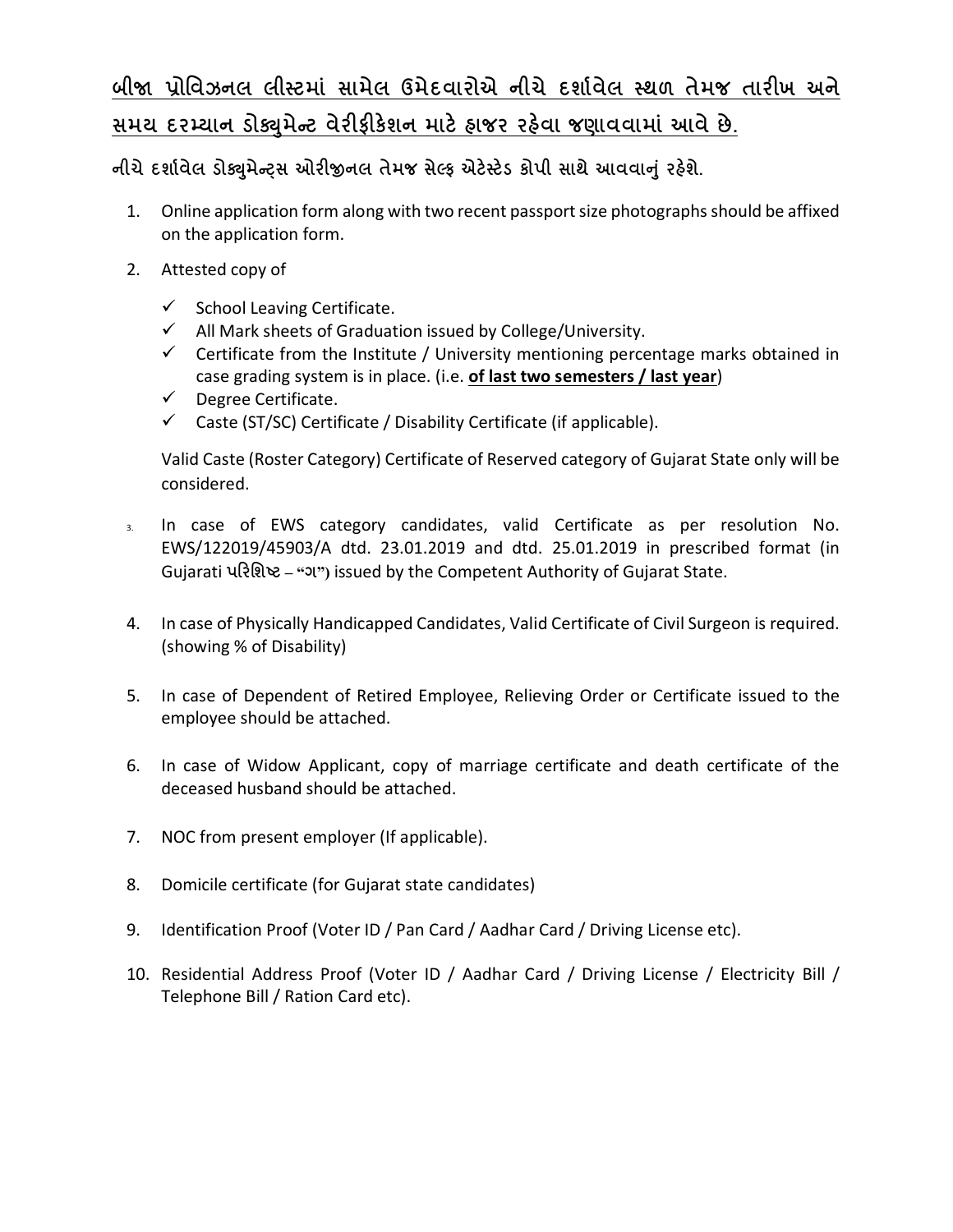## **બીĤ ̆ોિવઝનલ લીƨટમાં સામેલ ઉમેદવારોએ નીચે દશા½વેલ ƨથળ તેમજ તારખ અને**  <u>સમય દરમ્યાન ડોક્યુમેન્ટ વેરીફીકેશન માટે હાજર રહેવા જણાવવામાં આવે છે.</u>

**નીચેદશા½વેલ ડોɉુમેƛͫસ ઓરĥનલ તેમજ સેƣફ એટ°ƨટ°ડ કોપી સાથે આવવાȵું રહ°શે.**

- 1. Online application form along with two recent passport size photographs should be affixed on the application form.
- 2. Attested copy of
	- $\checkmark$  School Leaving Certificate.
	- $\checkmark$  All Mark sheets of Graduation issued by College/University.
	- $\checkmark$  Certificate from the Institute / University mentioning percentage marks obtained in case grading system is in place. (i.e. **of last two semesters / last year**)
	- $\checkmark$  Degree Certificate.
	- $\checkmark$  Caste (ST/SC) Certificate / Disability Certificate (if applicable).

Valid Caste (Roster Category) Certificate of Reserved category of Gujarat State only will be considered.

- 3. In case of EWS category candidates, valid Certificate as per resolution No. EWS/122019/45903/A dtd. 23.01.2019 and dtd. 25.01.2019 in prescribed format (in Gujarati **પરિશƧટ – "ગ")** issued by the Competent Authority of Gujarat State.
- 4. In case of Physically Handicapped Candidates, Valid Certificate of Civil Surgeon is required. (showing % of Disability)
- 5. In case of Dependent of Retired Employee, Relieving Order or Certificate issued to the employee should be attached.
- 6. In case of Widow Applicant, copy of marriage certificate and death certificate of the deceased husband should be attached.
- 7. NOC from present employer (If applicable).
- 8. Domicile certificate (for Gujarat state candidates)
- 9. Identification Proof (Voter ID / Pan Card / Aadhar Card / Driving License etc).
- 10. Residential Address Proof (Voter ID / Aadhar Card / Driving License / Electricity Bill / Telephone Bill / Ration Card etc).